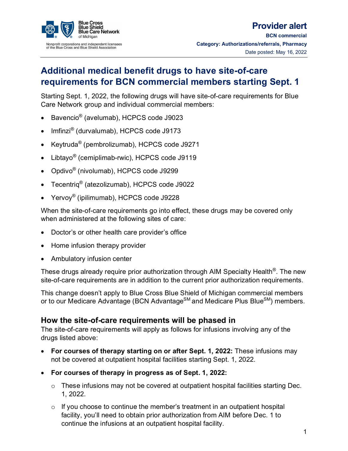

# **Additional medical benefit drugs to have site-of-care requirements for BCN commercial members starting Sept. 1**

Starting Sept. 1, 2022, the following drugs will have site-of-care requirements for Blue Care Network group and individual commercial members:

- Bavencio® (avelumab), HCPCS code J9023
- Imfinzi® (durvalumab), HCPCS code J9173
- Keytruda® (pembrolizumab), HCPCS code J9271
- Libtayo® (cemiplimab-rwic), HCPCS code J9119
- Opdivo® (nivolumab), HCPCS code J9299
- Tecentriq® (atezolizumab), HCPCS code J9022
- Yervoy<sup>®</sup> (ipilimumab), HCPCS code J9228

When the site-of-care requirements go into effect, these drugs may be covered only when administered at the following sites of care:

- Doctor's or other health care provider's office
- Home infusion therapy provider
- Ambulatory infusion center

These drugs already require prior authorization through AIM Specialty Health<sup>®</sup>. The new site-of-care requirements are in addition to the current prior authorization requirements.

This change doesn't apply to Blue Cross Blue Shield of Michigan commercial members or to our Medicare Advantage (BCN Advantage<sup>SM</sup> and Medicare Plus Blue<sup>SM</sup>) members.

#### **How the site-of-care requirements will be phased in**

The site-of-care requirements will apply as follows for infusions involving any of the drugs listed above:

- **For courses of therapy starting on or after Sept. 1, 2022:** These infusions may not be covered at outpatient hospital facilities starting Sept. 1, 2022.
- **For courses of therapy in progress as of Sept. 1, 2022:** 
	- o These infusions may not be covered at outpatient hospital facilities starting Dec. 1, 2022.
	- $\circ$  If you choose to continue the member's treatment in an outpatient hospital facility, you'll need to obtain prior authorization from AIM before Dec. 1 to continue the infusions at an outpatient hospital facility.